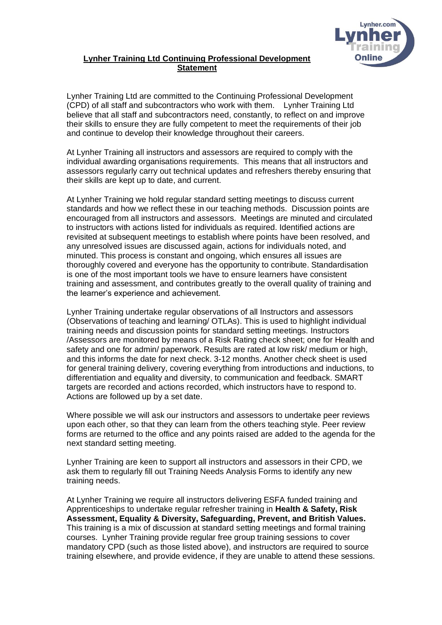

## **Lynher Training Ltd Continuing Professional Development Statement**

Lynher Training Ltd are committed to the Continuing Professional Development (CPD) of all staff and subcontractors who work with them. Lynher Training Ltd believe that all staff and subcontractors need, constantly, to reflect on and improve their skills to ensure they are fully competent to meet the requirements of their job and continue to develop their knowledge throughout their careers.

At Lynher Training all instructors and assessors are required to comply with the individual awarding organisations requirements. This means that all instructors and assessors regularly carry out technical updates and refreshers thereby ensuring that their skills are kept up to date, and current.

At Lynher Training we hold regular standard setting meetings to discuss current standards and how we reflect these in our teaching methods. Discussion points are encouraged from all instructors and assessors. Meetings are minuted and circulated to instructors with actions listed for individuals as required. Identified actions are revisited at subsequent meetings to establish where points have been resolved, and any unresolved issues are discussed again, actions for individuals noted, and minuted. This process is constant and ongoing, which ensures all issues are thoroughly covered and everyone has the opportunity to contribute. Standardisation is one of the most important tools we have to ensure learners have consistent training and assessment, and contributes greatly to the overall quality of training and the learner's experience and achievement.

Lynher Training undertake regular observations of all Instructors and assessors (Observations of teaching and learning/ OTLAs). This is used to highlight individual training needs and discussion points for standard setting meetings. Instructors /Assessors are monitored by means of a Risk Rating check sheet; one for Health and safety and one for admin/ paperwork. Results are rated at low risk/ medium or high, and this informs the date for next check. 3-12 months. Another check sheet is used for general training delivery, covering everything from introductions and inductions, to differentiation and equality and diversity, to communication and feedback. SMART targets are recorded and actions recorded, which instructors have to respond to. Actions are followed up by a set date.

Where possible we will ask our instructors and assessors to undertake peer reviews upon each other, so that they can learn from the others teaching style. Peer review forms are returned to the office and any points raised are added to the agenda for the next standard setting meeting.

Lynher Training are keen to support all instructors and assessors in their CPD, we ask them to regularly fill out Training Needs Analysis Forms to identify any new training needs.

At Lynher Training we require all instructors delivering ESFA funded training and Apprenticeships to undertake regular refresher training in **Health & Safety, Risk Assessment, Equality & Diversity, Safeguarding, Prevent, and British Values.** This training is a mix of discussion at standard setting meetings and formal training courses. Lynher Training provide regular free group training sessions to cover mandatory CPD (such as those listed above), and instructors are required to source training elsewhere, and provide evidence, if they are unable to attend these sessions.